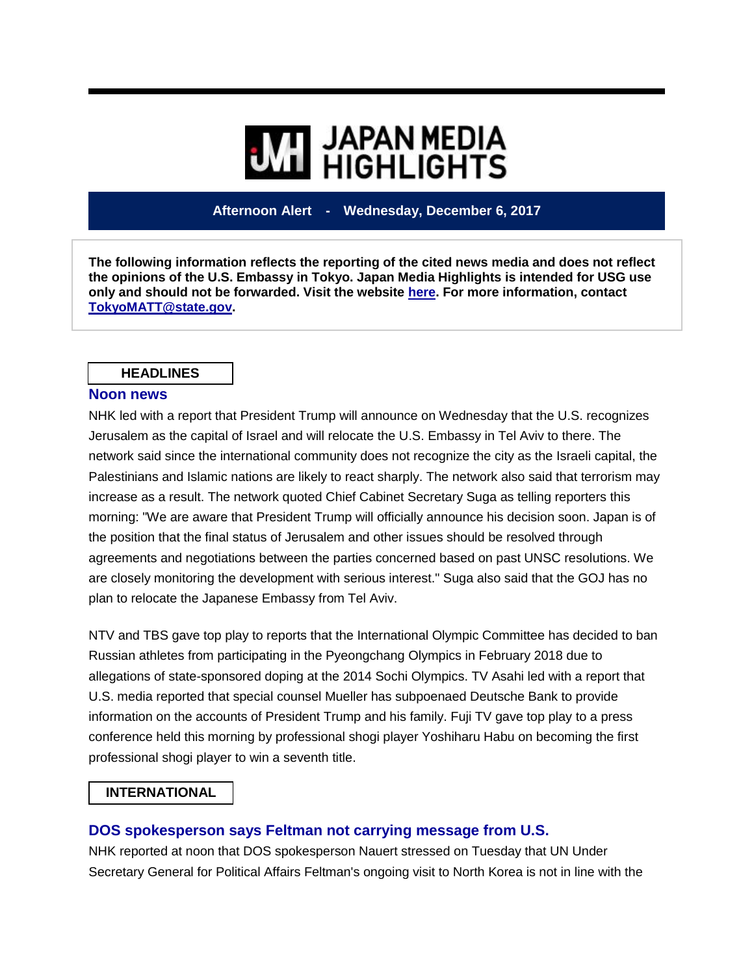# **WI HIGHLIGHTS**

# **Afternoon Alert - Wednesday, December 6, 2017**

**The following information reflects the reporting of the cited news media and does not reflect the opinions of the U.S. Embassy in Tokyo. Japan Media Highlights is intended for USG use only and should not be forwarded. Visit the website [here.](https://jmh.usembassy.gov/) For more information, contact [TokyoMATT@state.gov.](mailto:TokyoMATT@state.gov)**

#### **HEADLINES**

#### **Noon news**

NHK led with a report that President Trump will announce on Wednesday that the U.S. recognizes Jerusalem as the capital of Israel and will relocate the U.S. Embassy in Tel Aviv to there. The network said since the international community does not recognize the city as the Israeli capital, the Palestinians and Islamic nations are likely to react sharply. The network also said that terrorism may increase as a result. The network quoted Chief Cabinet Secretary Suga as telling reporters this morning: "We are aware that President Trump will officially announce his decision soon. Japan is of the position that the final status of Jerusalem and other issues should be resolved through agreements and negotiations between the parties concerned based on past UNSC resolutions. We are closely monitoring the development with serious interest." Suga also said that the GOJ has no plan to relocate the Japanese Embassy from Tel Aviv.

NTV and TBS gave top play to reports that the International Olympic Committee has decided to ban Russian athletes from participating in the Pyeongchang Olympics in February 2018 due to allegations of state-sponsored doping at the 2014 Sochi Olympics. TV Asahi led with a report that U.S. media reported that special counsel Mueller has subpoenaed Deutsche Bank to provide information on the accounts of President Trump and his family. Fuji TV gave top play to a press conference held this morning by professional shogi player Yoshiharu Habu on becoming the first professional shogi player to win a seventh title.

#### **INTERNATIONAL**

#### **DOS spokesperson says Feltman not carrying message from U.S.**

NHK reported at noon that DOS spokesperson Nauert stressed on Tuesday that UN Under Secretary General for Political Affairs Feltman's ongoing visit to North Korea is not in line with the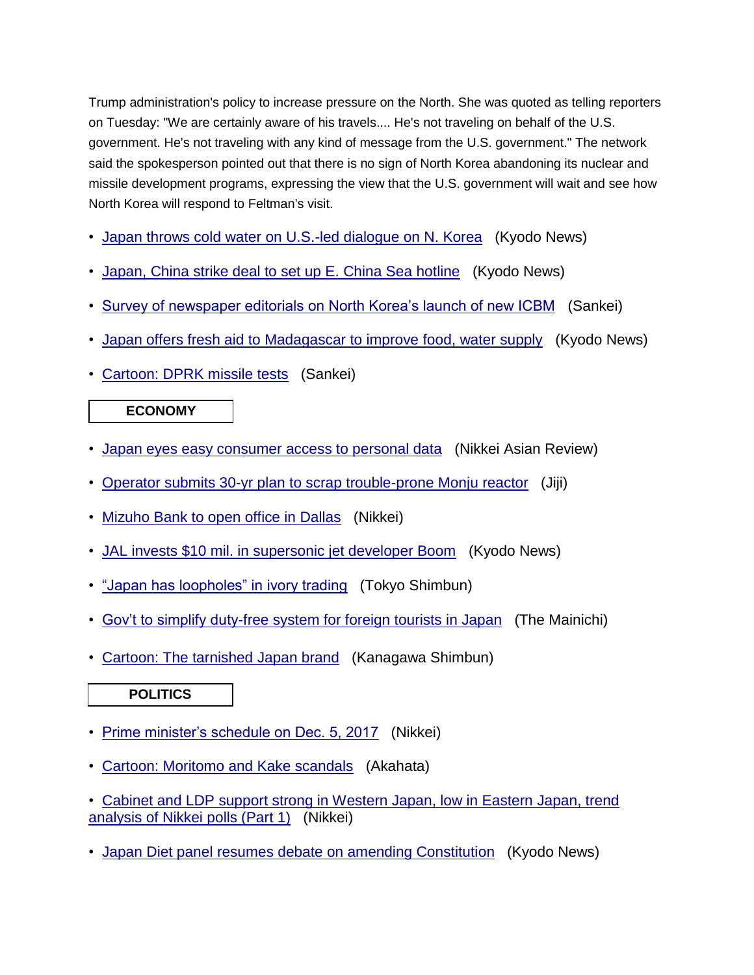Trump administration's policy to increase pressure on the North. She was quoted as telling reporters on Tuesday: "We are certainly aware of his travels.... He's not traveling on behalf of the U.S. government. He's not traveling with any kind of message from the U.S. government." The network said the spokesperson pointed out that there is no sign of North Korea abandoning its nuclear and missile development programs, expressing the view that the U.S. government will wait and see how North Korea will respond to Feltman's visit.

- [Japan throws cold water on U.S.-led dialogue on N. Korea](https://jmh.usembassy.gov/2017120696511/) (Kyodo News)
- [Japan, China strike deal to set up E. China Sea hotline](https://jmh.usembassy.gov/2017120696525/) (Kyodo News)
- [Survey of newspaper editorials on North Korea's launch of new ICBM](https://jmh.usembassy.gov/2017120696492/) (Sankei)
- [Japan offers fresh aid to Madagascar to improve food, water supply](https://jmh.usembassy.gov/2017120696475/) (Kyodo News)
- [Cartoon: DPRK missile tests](https://jmh.usembassy.gov/2017120696504/) (Sankei)

### **ECONOMY**

- [Japan eyes easy consumer access to personal data](https://jmh.usembassy.gov/2017120696479/) (Nikkei Asian Review)
- [Operator submits 30-yr plan to scrap trouble-prone Monju reactor](https://jmh.usembassy.gov/2017120696526/) (Jiji)
- [Mizuho Bank to open office in Dallas](https://jmh.usembassy.gov/2017120696488/) (Nikkei)
- [JAL invests \\$10 mil. in supersonic jet developer Boom](https://jmh.usembassy.gov/2017120696485/) (Kyodo News)
- ["Japan has loopholes" in ivory trading](https://jmh.usembassy.gov/2017120696483/) (Tokyo Shimbun)
- [Gov't to simplify duty-free system for foreign tourists in Japan](https://jmh.usembassy.gov/2017120696480/) (The Mainichi)
- [Cartoon: The tarnished Japan brand](https://jmh.usembassy.gov/2017120696502/) (Kanagawa Shimbun)

### **POLITICS**

- [Prime minister's schedule on Dec. 5, 2017](https://jmh.usembassy.gov/2017120696490/) (Nikkei)
- [Cartoon: Moritomo and Kake scandals](https://jmh.usembassy.gov/2017120696506/) (Akahata)
- [Cabinet and LDP support strong in Western Japan, low in Eastern Japan, trend](https://jmh.usembassy.gov/2017120696543/)  [analysis of Nikkei polls \(Part 1\)](https://jmh.usembassy.gov/2017120696543/) (Nikkei)
- [Japan Diet panel resumes debate on amending Constitution](https://jmh.usembassy.gov/2017120696523/) (Kyodo News)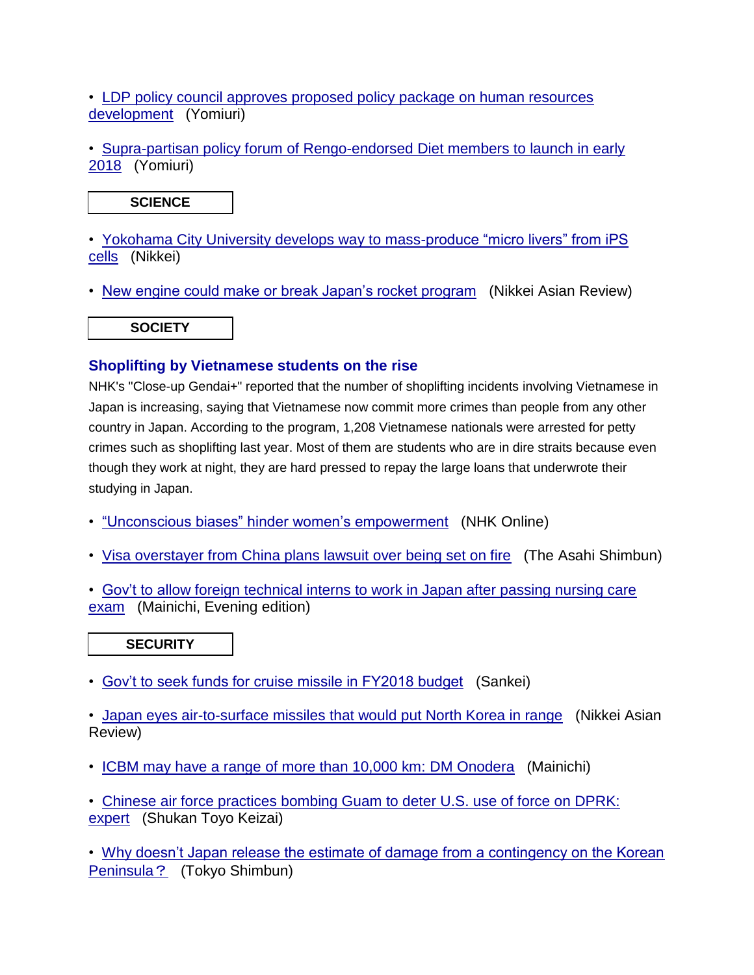• [LDP policy council approves proposed policy package on human resources](https://jmh.usembassy.gov/2017120696514/)  [development](https://jmh.usembassy.gov/2017120696514/) (Yomiuri)

• [Supra-partisan policy forum of Rengo-endorsed Diet members to launch in early](https://jmh.usembassy.gov/2017120696484/)  [2018](https://jmh.usembassy.gov/2017120696484/) (Yomiuri)

# **SCIENCE**

• [Yokohama City University develops way to mass-produce "micro livers" from iPS](https://jmh.usembassy.gov/2017120696498/)  [cells](https://jmh.usembassy.gov/2017120696498/) (Nikkei)

• [New engine could make or break Japan's rocket program](https://jmh.usembassy.gov/2017120696540/) (Nikkei Asian Review)

**SOCIETY** 

# **Shoplifting by Vietnamese students on the rise**

NHK's "Close-up Gendai+" reported that the number of shoplifting incidents involving Vietnamese in Japan is increasing, saying that Vietnamese now commit more crimes than people from any other country in Japan. According to the program, 1,208 Vietnamese nationals were arrested for petty crimes such as shoplifting last year. Most of them are students who are in dire straits because even though they work at night, they are hard pressed to repay the large loans that underwrote their studying in Japan.

- ["Unconscious biases" hinder women's empowerment](https://jmh.usembassy.gov/2017120696513/) (NHK Online)
- [Visa overstayer from China plans lawsuit over being set on fire](https://jmh.usembassy.gov/2017120696470/) (The Asahi Shimbun)
- [Gov't to allow foreign technical interns to work in Japan after passing nursing care](https://jmh.usembassy.gov/2017120696521/)  [exam](https://jmh.usembassy.gov/2017120696521/) (Mainichi, Evening edition)

**SECURITY** 

• [Gov't to seek funds for cruise missile in FY2018 budget](https://jmh.usembassy.gov/2017120696496/) (Sankei)

• [Japan eyes air-to-surface missiles that would put North Korea in range](https://jmh.usembassy.gov/2017120696547/) (Nikkei Asian Review)

• [ICBM may have a range of more than 10,000 km: DM Onodera](https://jmh.usembassy.gov/2017120696494/) (Mainichi)

• [Chinese air force practices bombing Guam to deter U.S. use of force on DPRK:](https://jmh.usembassy.gov/2017120696481/)  [expert](https://jmh.usembassy.gov/2017120696481/) (Shukan Toyo Keizai)

• [Why doesn't Japan release the estimate of damage from a contingency on the Korean](https://jmh.usembassy.gov/2017120696461/)  [Peninsula](https://jmh.usembassy.gov/2017120696461/)? (Tokyo Shimbun)